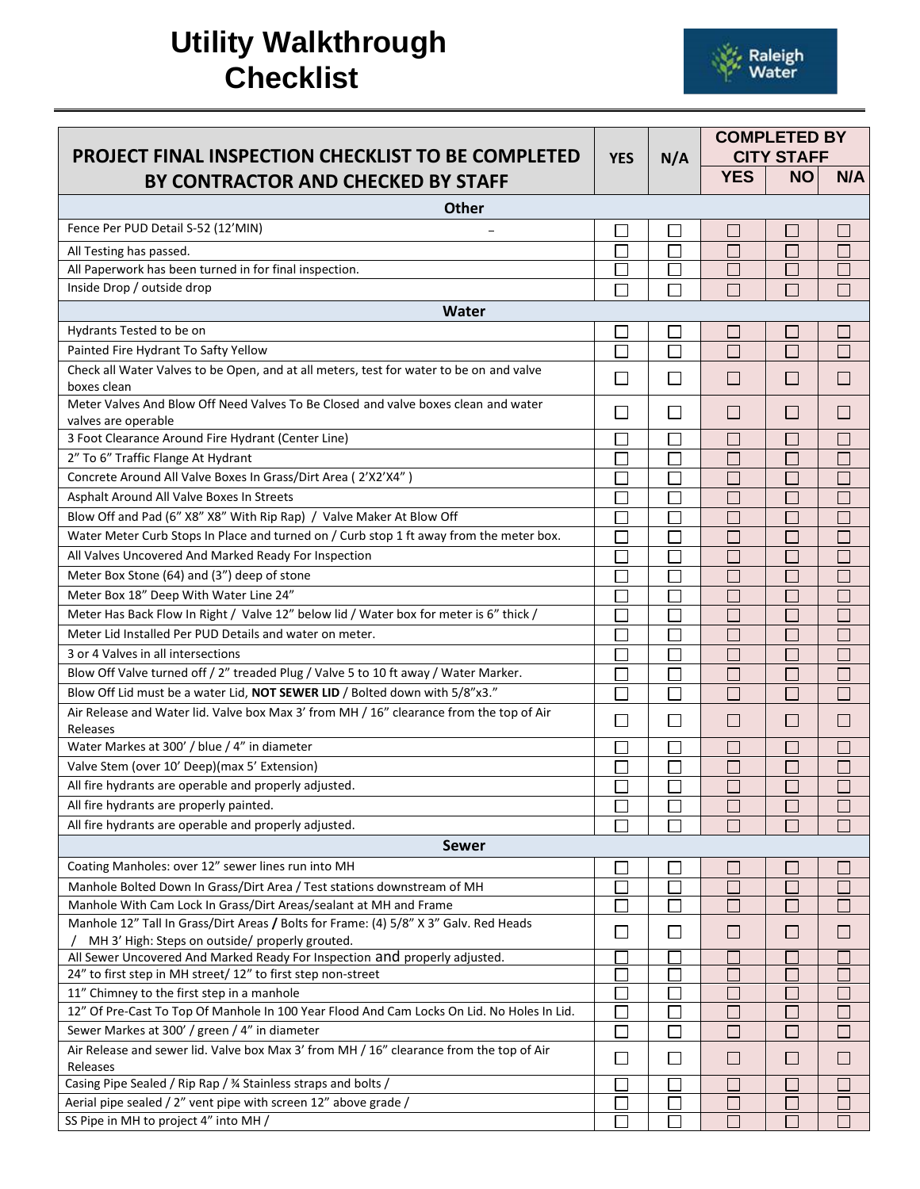## **Utility Walkthrough Checklist**



| <b>PROJECT FINAL INSPECTION CHECKLIST TO BE COMPLETED</b><br>BY CONTRACTOR AND CHECKED BY STAFF | <b>YES</b> | N/A          | <b>COMPLETED BY</b><br><b>CITY STAFF</b> |                             |                          |
|-------------------------------------------------------------------------------------------------|------------|--------------|------------------------------------------|-----------------------------|--------------------------|
|                                                                                                 |            |              | <b>YES</b>                               | <b>NO</b>                   | N/A                      |
| <b>Other</b>                                                                                    |            |              |                                          |                             |                          |
| Fence Per PUD Detail S-52 (12'MIN)                                                              |            |              |                                          | in 1                        |                          |
| All Testing has passed.                                                                         |            |              |                                          | $\Box$                      |                          |
| All Paperwork has been turned in for final inspection.                                          |            |              | П                                        | $\Box$                      |                          |
| Inside Drop / outside drop                                                                      | П          |              | $\Box$                                   | $\Box$                      | ш.                       |
| Water                                                                                           |            |              |                                          |                             |                          |
| Hydrants Tested to be on                                                                        |            |              | a.                                       | П                           |                          |
| Painted Fire Hydrant To Safty Yellow                                                            | П          | $\Box$       | Г                                        | $\Box$                      | □                        |
| Check all Water Valves to be Open, and at all meters, test for water to be on and valve         |            |              |                                          |                             |                          |
| boxes clean                                                                                     | $\Box$     | $\Box$       | $\Box$                                   | I.                          |                          |
| Meter Valves And Blow Off Need Valves To Be Closed and valve boxes clean and water              |            |              |                                          |                             |                          |
| valves are operable                                                                             | П          | П            | $\Box$                                   | $\Box$                      | $\Box$                   |
| 3 Foot Clearance Around Fire Hydrant (Center Line)                                              | $\Box$     | $\Box$       | $\Box$                                   | $\Box$                      | $\Box$                   |
| 2" To 6" Traffic Flange At Hydrant                                                              |            |              |                                          | Г                           |                          |
| Concrete Around All Valve Boxes In Grass/Dirt Area (2'X2'X4")                                   |            |              |                                          | L                           |                          |
| Asphalt Around All Valve Boxes In Streets                                                       |            |              | ×                                        | $\Box$                      | $\Box$                   |
| Blow Off and Pad (6" X8" X8" With Rip Rap) / Valve Maker At Blow Off                            |            |              |                                          | Г                           |                          |
| Water Meter Curb Stops In Place and turned on / Curb stop 1 ft away from the meter box.         |            |              |                                          | L                           | П                        |
| All Valves Uncovered And Marked Ready For Inspection                                            |            |              | a.                                       | $\mathbf{L}$                | □                        |
| Meter Box Stone (64) and (3") deep of stone                                                     |            |              |                                          | Г                           |                          |
| Meter Box 18" Deep With Water Line 24"                                                          |            |              |                                          | L                           |                          |
| Meter Has Back Flow In Right / Valve 12" below lid / Water box for meter is 6" thick /          |            |              |                                          | L                           |                          |
| Meter Lid Installed Per PUD Details and water on meter.                                         | Г          |              | <b>I</b>                                 | Γ                           | П                        |
| 3 or 4 Valves in all intersections                                                              |            |              |                                          | $\Box$                      |                          |
| Blow Off Valve turned off / 2" treaded Plug / Valve 5 to 10 ft away / Water Marker.             | $\Box$     | $\Box$       | <b>T</b>                                 | $\Box$                      | П                        |
| Blow Off Lid must be a water Lid, NOT SEWER LID / Bolted down with 5/8"x3."                     | П          | П            | F.                                       | П                           | П                        |
| Air Release and Water lid. Valve box Max 3' from MH / 16" clearance from the top of Air         |            |              |                                          |                             |                          |
| Releases                                                                                        | $\Box$     | $\Box$       |                                          | $\Box$                      |                          |
| Water Markes at 300' / blue / 4" in diameter                                                    | Γ          | П            | Г                                        | П                           | a.                       |
| Valve Stem (over 10' Deep)(max 5' Extension)                                                    |            |              |                                          |                             |                          |
| All fire hydrants are operable and properly adjusted.                                           |            |              |                                          | $\Box$                      |                          |
| All fire hydrants are properly painted.                                                         |            |              |                                          |                             |                          |
| All fire hydrants are operable and properly adjusted.                                           |            |              |                                          |                             |                          |
| <b>Sewer</b>                                                                                    |            |              |                                          |                             |                          |
| Coating Manholes: over 12" sewer lines run into MH                                              |            |              |                                          | $\mathcal{L}_{\mathcal{A}}$ |                          |
| Manhole Bolted Down In Grass/Dirt Area / Test stations downstream of MH                         |            |              |                                          | Г                           |                          |
| Manhole With Cam Lock In Grass/Dirt Areas/sealant at MH and Frame                               | I.         |              | M.                                       | $\Box$                      | П                        |
| Manhole 12" Tall In Grass/Dirt Areas / Bolts for Frame: (4) 5/8" X 3" Galv. Red Heads           |            |              |                                          |                             |                          |
| MH 3' High: Steps on outside/ properly grouted.                                                 | $\Box$     | П            | $\mathbf{L}$                             | П                           | $\overline{\phantom{a}}$ |
| All Sewer Uncovered And Marked Ready For Inspection and properly adjusted.                      |            |              |                                          |                             |                          |
| 24" to first step in MH street/ 12" to first step non-street                                    |            |              |                                          |                             |                          |
| 11" Chimney to the first step in a manhole                                                      |            |              |                                          | $\mathcal{L}_{\mathcal{A}}$ |                          |
| 12" Of Pre-Cast To Top Of Manhole In 100 Year Flood And Cam Locks On Lid. No Holes In Lid.      | L          |              |                                          | h.                          |                          |
| Sewer Markes at 300' / green / 4" in diameter                                                   | П          | $\Box$       | M.                                       | $\Box$                      | П                        |
| Air Release and sewer lid. Valve box Max 3' from MH / 16" clearance from the top of Air         | $\Box$     | $\mathbf{I}$ | $\mathbf{L}$                             | $\Box$                      | $\mathcal{L}$            |
| Releases                                                                                        |            |              |                                          |                             |                          |
| Casing Pipe Sealed / Rip Rap / 3⁄4 Stainless straps and bolts /                                 |            |              |                                          | <b>CONTRACTOR</b>           |                          |
| Aerial pipe sealed / 2" vent pipe with screen 12" above grade /                                 |            |              |                                          | L.                          | a.                       |
| SS Pipe in MH to project 4" into MH /                                                           |            |              |                                          | П                           | $\Box$                   |